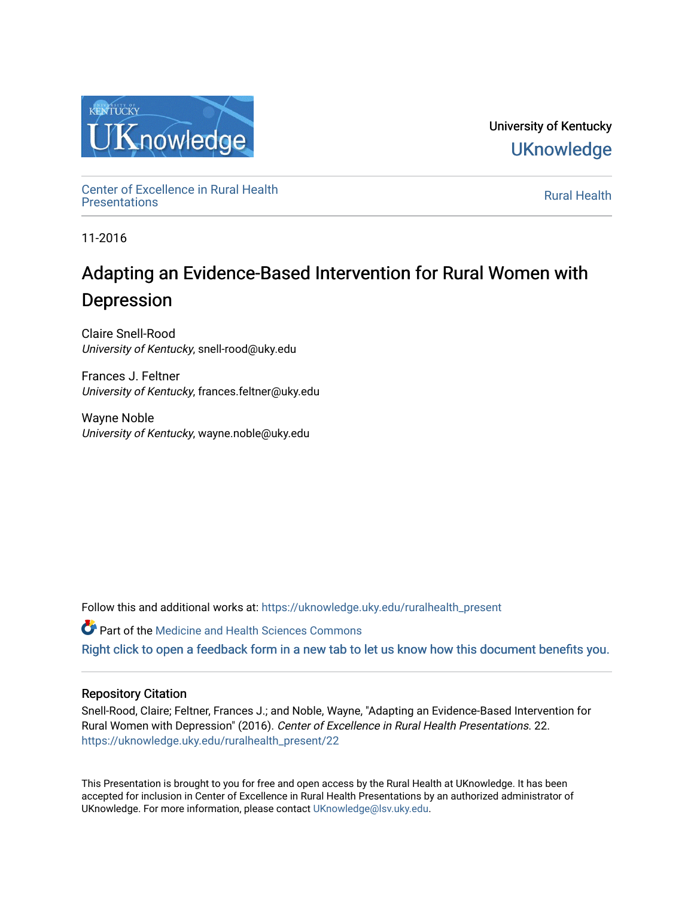

University of Kentucky **UKnowledge** 

Center of Excellence in Rural Health<br>Presentations Definer of Excellence in Kural Health<br>[Presentations](https://uknowledge.uky.edu/ruralhealth_present) **Rural Health** 

11-2016

### Adapting an Evidence-Based Intervention for Rural Women with Depression

Claire Snell-Rood University of Kentucky, snell-rood@uky.edu

Frances J. Feltner University of Kentucky, frances.feltner@uky.edu

Wayne Noble University of Kentucky, wayne.noble@uky.edu

Follow this and additional works at: [https://uknowledge.uky.edu/ruralhealth\\_present](https://uknowledge.uky.edu/ruralhealth_present?utm_source=uknowledge.uky.edu%2Fruralhealth_present%2F22&utm_medium=PDF&utm_campaign=PDFCoverPages) 

**Part of the Medicine and Health Sciences Commons** 

[Right click to open a feedback form in a new tab to let us know how this document benefits you.](https://uky.az1.qualtrics.com/jfe/form/SV_9mq8fx2GnONRfz7)

### Repository Citation

Snell-Rood, Claire; Feltner, Frances J.; and Noble, Wayne, "Adapting an Evidence-Based Intervention for Rural Women with Depression" (2016). Center of Excellence in Rural Health Presentations. 22. [https://uknowledge.uky.edu/ruralhealth\\_present/22](https://uknowledge.uky.edu/ruralhealth_present/22?utm_source=uknowledge.uky.edu%2Fruralhealth_present%2F22&utm_medium=PDF&utm_campaign=PDFCoverPages)

This Presentation is brought to you for free and open access by the Rural Health at UKnowledge. It has been accepted for inclusion in Center of Excellence in Rural Health Presentations by an authorized administrator of UKnowledge. For more information, please contact [UKnowledge@lsv.uky.edu](mailto:UKnowledge@lsv.uky.edu).